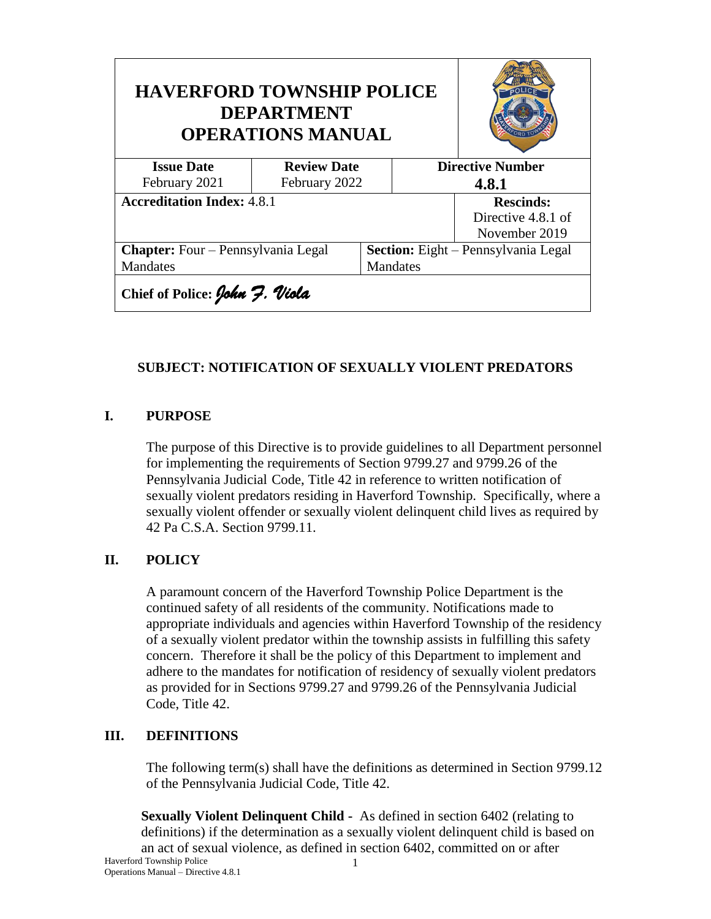| <b>HAVERFORD TOWNSHIP POLICE</b><br><b>DEPARTMENT</b><br><b>OPERATIONS MANUAL</b> |                    |                 |                                            |                         |  |
|-----------------------------------------------------------------------------------|--------------------|-----------------|--------------------------------------------|-------------------------|--|
| <b>Issue Date</b>                                                                 | <b>Review Date</b> |                 |                                            | <b>Directive Number</b> |  |
| February 2021                                                                     | February 2022      |                 | 4.8.1                                      |                         |  |
| <b>Accreditation Index: 4.8.1</b>                                                 |                    |                 | <b>Rescinds:</b>                           |                         |  |
|                                                                                   |                    |                 | Directive 4.8.1 of                         |                         |  |
|                                                                                   |                    |                 |                                            | November 2019           |  |
| <b>Chapter:</b> Four – Pennsylvania Legal                                         |                    |                 | <b>Section:</b> Eight – Pennsylvania Legal |                         |  |
| Mandates                                                                          |                    | <b>Mandates</b> |                                            |                         |  |
| Chief of Police: John 7. Viola                                                    |                    |                 |                                            |                         |  |

## **SUBJECT: NOTIFICATION OF SEXUALLY VIOLENT PREDATORS**

### **I. PURPOSE**

The purpose of this Directive is to provide guidelines to all Department personnel for implementing the requirements of Section 9799.27 and 9799.26 of the Pennsylvania Judicial Code, Title 42 in reference to written notification of sexually violent predators residing in Haverford Township. Specifically, where a sexually violent offender or sexually violent delinquent child lives as required by 42 Pa C.S.A. Section 9799.11.

### **II. POLICY**

A paramount concern of the Haverford Township Police Department is the continued safety of all residents of the community. Notifications made to appropriate individuals and agencies within Haverford Township of the residency of a sexually violent predator within the township assists in fulfilling this safety concern. Therefore it shall be the policy of this Department to implement and adhere to the mandates for notification of residency of sexually violent predators as provided for in Sections 9799.27 and 9799.26 of the Pennsylvania Judicial Code, Title 42.

### **III. DEFINITIONS**

The following term(s) shall have the definitions as determined in Section 9799.12 of the Pennsylvania Judicial Code, Title 42.

**Sexually Violent Delinquent Child -** As defined in section 6402 (relating to definitions) if the determination as a sexually violent delinquent child is based on an act of sexual violence, as defined in section 6402, committed on or after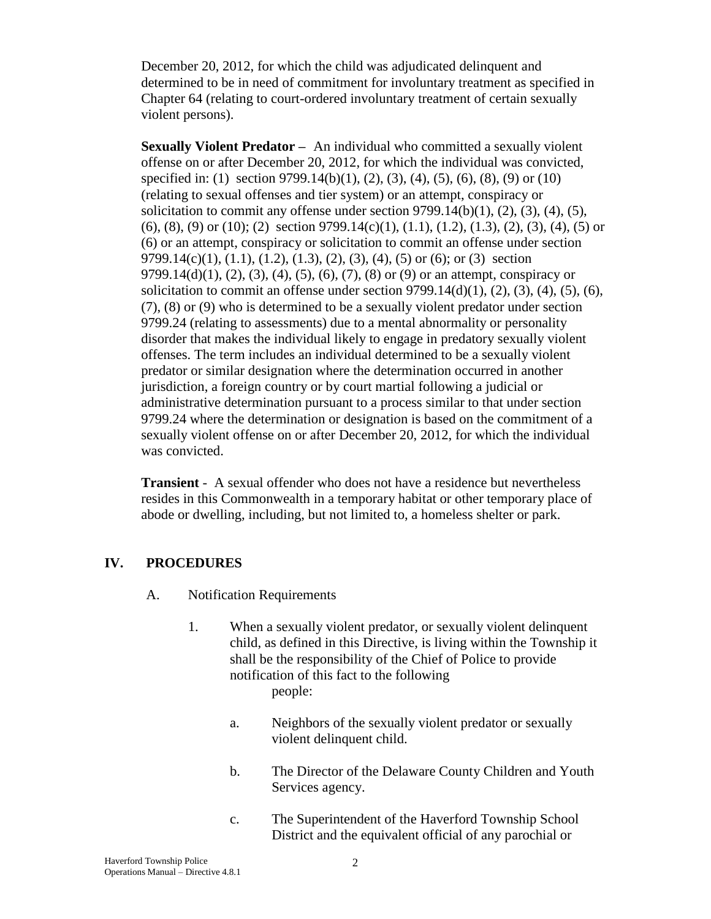December 20, 2012, for which the child was adjudicated delinquent and determined to be in need of commitment for involuntary treatment as specified in Chapter 64 (relating to court-ordered involuntary treatment of certain sexually violent persons).

**Sexually Violent Predator –** An individual who committed a sexually violent offense on or after December 20, 2012, for which the individual was convicted, specified in: (1) section 9799.14(b)(1), (2), (3), (4), (5), (6), (8), (9) or (10) (relating to sexual offenses and tier system) or an attempt, conspiracy or solicitation to commit any offense under section  $9799.14(b)(1)$ ,  $(2)$ ,  $(3)$ ,  $(4)$ ,  $(5)$ ,  $(6)$ ,  $(8)$ ,  $(9)$  or  $(10)$ ;  $(2)$  section 9799.14(c) $(1)$ ,  $(1.1)$ ,  $(1.2)$ ,  $(1.3)$ ,  $(2)$ ,  $(3)$ ,  $(4)$ ,  $(5)$  or (6) or an attempt, conspiracy or solicitation to commit an offense under section 9799.14(c)(1), (1.1), (1.2), (1.3), (2), (3), (4), (5) or (6); or (3) section 9799.14(d)(1), (2), (3), (4), (5), (6), (7), (8) or (9) or an attempt, conspiracy or solicitation to commit an offense under section  $9799.14(d)(1)$ ,  $(2)$ ,  $(3)$ ,  $(4)$ ,  $(5)$ ,  $(6)$ , (7), (8) or (9) who is determined to be a sexually violent predator under section 9799.24 (relating to assessments) due to a mental abnormality or personality disorder that makes the individual likely to engage in predatory sexually violent offenses. The term includes an individual determined to be a sexually violent predator or similar designation where the determination occurred in another jurisdiction, a foreign country or by court martial following a judicial or administrative determination pursuant to a process similar to that under section 9799.24 where the determination or designation is based on the commitment of a sexually violent offense on or after December 20, 2012, for which the individual was convicted.

**Transient** - A sexual offender who does not have a residence but nevertheless resides in this Commonwealth in a temporary habitat or other temporary place of abode or dwelling, including, but not limited to, a homeless shelter or park.

### **IV. PROCEDURES**

- A. Notification Requirements
	- 1. When a sexually violent predator, or sexually violent delinquent child, as defined in this Directive, is living within the Township it shall be the responsibility of the Chief of Police to provide notification of this fact to the following people:
		- a. Neighbors of the sexually violent predator or sexually violent delinquent child.
		- b. The Director of the Delaware County Children and Youth Services agency.
		- c. The Superintendent of the Haverford Township School District and the equivalent official of any parochial or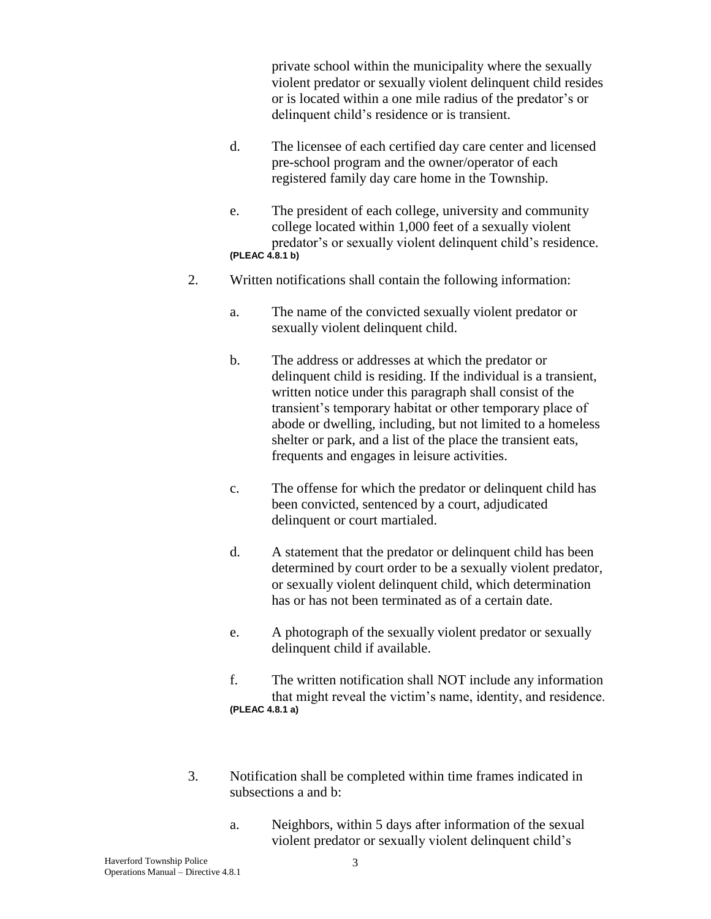private school within the municipality where the sexually violent predator or sexually violent delinquent child resides or is located within a one mile radius of the predator's or delinquent child's residence or is transient.

- d. The licensee of each certified day care center and licensed pre-school program and the owner/operator of each registered family day care home in the Township.
- e. The president of each college, university and community college located within 1,000 feet of a sexually violent predator's or sexually violent delinquent child's residence. **(PLEAC 4.8.1 b)**
- 2. Written notifications shall contain the following information:
	- a. The name of the convicted sexually violent predator or sexually violent delinquent child.
	- b. The address or addresses at which the predator or delinquent child is residing. If the individual is a transient, written notice under this paragraph shall consist of the transient's temporary habitat or other temporary place of abode or dwelling, including, but not limited to a homeless shelter or park, and a list of the place the transient eats, frequents and engages in leisure activities.
	- c. The offense for which the predator or delinquent child has been convicted, sentenced by a court, adjudicated delinquent or court martialed.
	- d. A statement that the predator or delinquent child has been determined by court order to be a sexually violent predator, or sexually violent delinquent child, which determination has or has not been terminated as of a certain date.
	- e. A photograph of the sexually violent predator or sexually delinquent child if available.
	- f. The written notification shall NOT include any information that might reveal the victim's name, identity, and residence. **(PLEAC 4.8.1 a)**
- 3. Notification shall be completed within time frames indicated in subsections a and b:
	- a. Neighbors, within 5 days after information of the sexual violent predator or sexually violent delinquent child's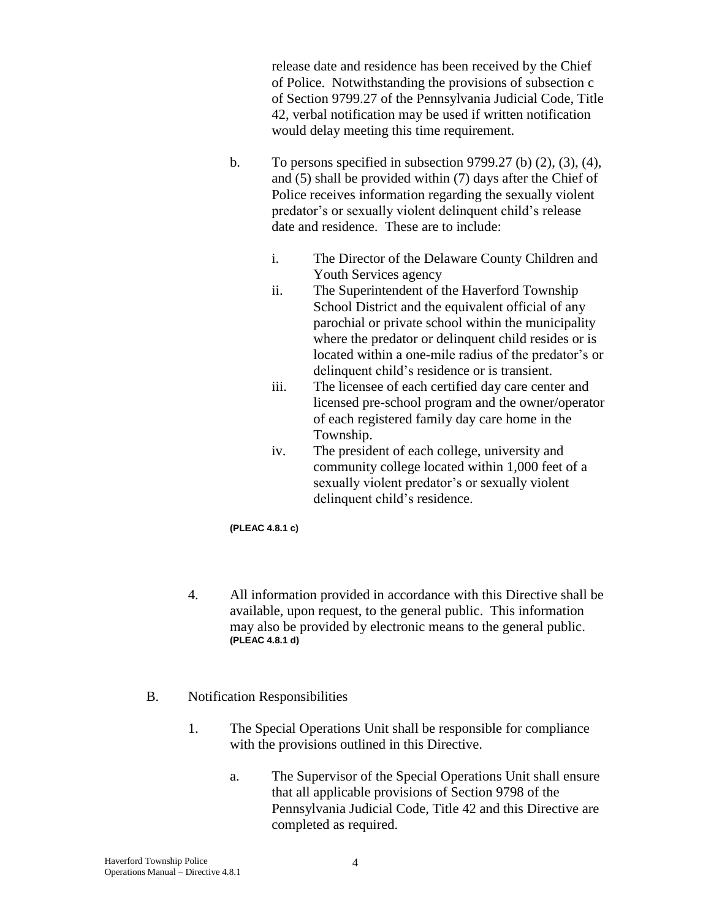release date and residence has been received by the Chief of Police. Notwithstanding the provisions of subsection c of Section 9799.27 of the Pennsylvania Judicial Code, Title 42, verbal notification may be used if written notification would delay meeting this time requirement.

- b. To persons specified in subsection 9799.27 (b) (2), (3), (4), and (5) shall be provided within (7) days after the Chief of Police receives information regarding the sexually violent predator's or sexually violent delinquent child's release date and residence. These are to include:
	- i. The Director of the Delaware County Children and Youth Services agency
	- ii. The Superintendent of the Haverford Township School District and the equivalent official of any parochial or private school within the municipality where the predator or delinquent child resides or is located within a one-mile radius of the predator's or delinquent child's residence or is transient.
	- iii. The licensee of each certified day care center and licensed pre-school program and the owner/operator of each registered family day care home in the Township.
	- iv. The president of each college, university and community college located within 1,000 feet of a sexually violent predator's or sexually violent delinquent child's residence.

**(PLEAC 4.8.1 c)**

- 4. All information provided in accordance with this Directive shall be available, upon request, to the general public. This information may also be provided by electronic means to the general public. **(PLEAC 4.8.1 d)**
- B. Notification Responsibilities
	- 1. The Special Operations Unit shall be responsible for compliance with the provisions outlined in this Directive.
		- a. The Supervisor of the Special Operations Unit shall ensure that all applicable provisions of Section 9798 of the Pennsylvania Judicial Code, Title 42 and this Directive are completed as required.